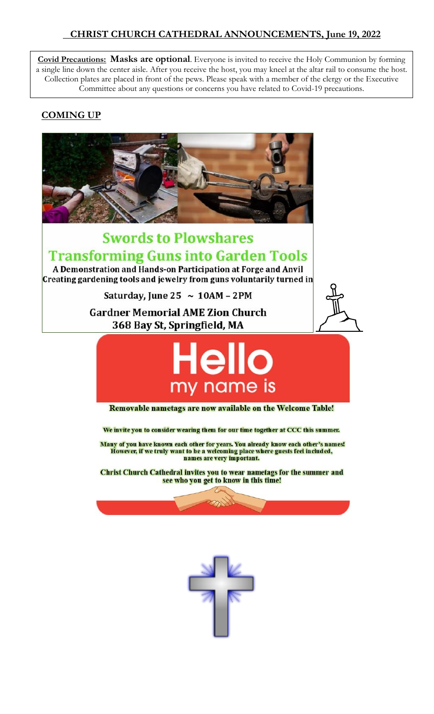### **CHRIST CHURCH CATHEDRAL ANNOUNCEMENTS, June 19, 2022**

**Covid Precautions: Masks are optional**. Everyone is invited to receive the Holy Communion by forming a single line down the center aisle. After you receive the host, you may kneel at the altar rail to consume the host. Collection plates are placed in front of the pews. Please speak with a member of the clergy or the Executive Committee about any questions or concerns you have related to Covid-19 precautions.

### **COMING UP**



# **Swords to Plowshares Transforming Guns into Garden Tools**

A Demonstration and Hands-on Participation at Forge and Anvil Creating gardening tools and jewelry from guns voluntarily turned in

Saturday, June 25  $\sim 10$ AM - 2PM

**Gardner Memorial AME Zion Church** 368 Bay St, Springfield, MA





Removable nametags are now available on the Welcome Table!

We invite you to consider wearing them for our time together at CCC this summer.

Many of you have known each other for years. You already know each other's names! However, if we truly want to be a welcoming place where guests feel included, names are very important.

Christ Church Cathedral invites you to wear nametags for the summer and see who you get to know in this time!